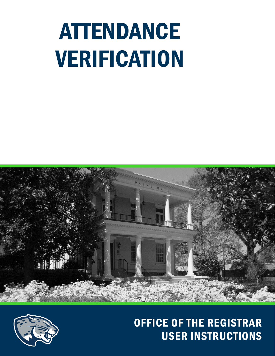# ATTENDANCE VERIFICATION





# OFFICE OF THE REGISTRAR USER INSTRUCTIONS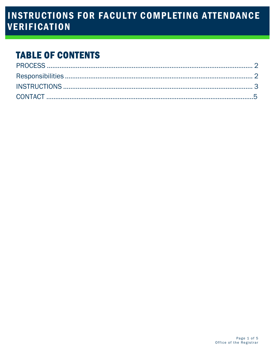## **INSTRUCTIONS FOR FACULTY COMPLETING ATTENDANCE VERIFICATION**

# **TABLE OF CONTENTS**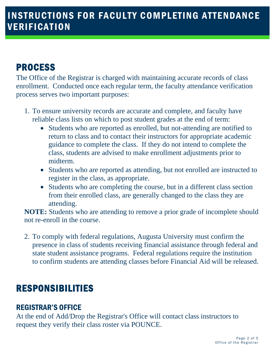# <span id="page-2-0"></span>PROCESS

The Office of the Registrar is charged with maintaining accurate records of class enrollment. Conducted once each regular term, the faculty attendance verification process serves two important purposes:

- 1. To ensure university records are accurate and complete, and faculty have reliable class lists on which to post student grades at the end of term:
	- Students who are reported as enrolled, but not-attending are notified to return to class and to contact their instructors for appropriate academic guidance to complete the class. If they do not intend to complete the class, students are advised to make enrollment adjustments prior to midterm.
	- Students who are reported as attending, but not enrolled are instructed to register in the class, as appropriate.
	- Students who are completing the course, but in a different class section from their enrolled class, are generally changed to the class they are attending.

**NOTE:** Students who are attending to remove a prior grade of incomplete should not re-enroll in the course.

2. To comply with federal regulations, Augusta University must confirm the presence in class of students receiving financial assistance through federal and state student assistance programs. Federal regulations require the institution to confirm students are attending classes before Financial Aid will be released.

#### <span id="page-2-1"></span>RESPONSIBILITIES

#### REGISTRAR'S OFFICE

At the end of Add/Drop the Registrar's Office will contact class instructors to request they verify their class roster via POUNCE.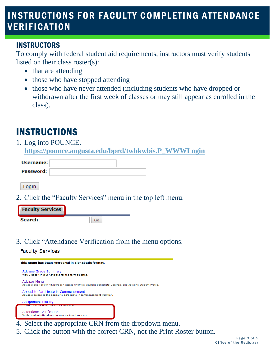## INSTRUCTIONS FOR FACULTY COMPLETING ATTENDANCE VERIFICATION

#### INSTRUCTORS

To comply with federal student aid requirements, instructors must verify students listed on their class roster(s):

- that are attending
- those who have stopped attending
- those who have never attended (including students who have dropped or withdrawn after the first week of classes or may still appear as enrolled in the class).

## <span id="page-3-0"></span>INSTRUCTIONS

#### 1. Log into POUNCE. **[https://pounce.augusta.edu/bprd/twbkwbis.P\\_WWWLogin](https://pounce.augusta.edu/bprd/twbkwbis.P_WWWLogin)**

| Username: |  |
|-----------|--|
| Password: |  |

Login

2. Click the "Faculty Services" menu in the top left menu.

| <b>Faculty Services</b> |  |
|-------------------------|--|
| <b>Search</b>           |  |

3. Click "Attendance Verification from the menu options.

#### **Faculty Services**



- 4. Select the appropriate CRN from the dropdown menu.
- 5. Click the button with the correct CRN, not the Print Roster button.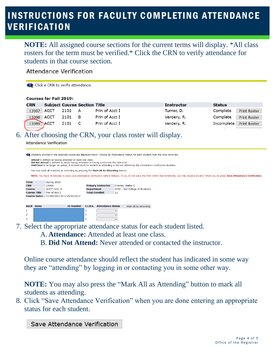## INSTRUCTIONS FOR FACULTY COMPLETING ATTENDANCE **VERIFICATION**

**NOTE:** All assigned course sections for the current terms will display. \*All class rosters for the term must be verified.\* Click the CRN to verify attendance for students in that course section.

**Attendance Verification** 

Click a CRN to verify attendance.

#### **Courses for Fall 2019:**

| <b>CRN</b> | <b>Subject Course Section Title</b> |           |   |                | <b>Instructor</b> | <b>Status</b> |                     |
|------------|-------------------------------------|-----------|---|----------------|-------------------|---------------|---------------------|
| 13087 ACCT |                                     | 2101<br>A |   | Prin of Acct I | Turner, D.        | Complete      | <b>Print Roster</b> |
| 13088 ACCT |                                     | 2101      | в | Prin of Acct I | Verdery, R.       | Complete      | <b>Print Roster</b> |
| 13089 ACCT |                                     | 2101      |   | Prin of Acct I | Verdery, R.       | Incomplete    | <b>Print Roster</b> |
|            |                                     |           |   |                |                   |               |                     |

#### 6. After choosing the CRN, your class roster will display.

**Attendance Verification** 

| to Students enrolled in the selected course are displayed below. Choose an Attendance Status for each student from the drop-down list.                                                                                                                                                   |                                                                                                                                                                                                            |                            |                           |                          |                                 |
|------------------------------------------------------------------------------------------------------------------------------------------------------------------------------------------------------------------------------------------------------------------------------------------|------------------------------------------------------------------------------------------------------------------------------------------------------------------------------------------------------------|----------------------------|---------------------------|--------------------------|---------------------------------|
| Attend is defined as having attended at least one class.<br>Did Not Attend is defined as never having attended or having contacted the instructor.<br>Hold Seat is no longer an option. A student must be marked as attending or did not attend by the attendance verification deadline. |                                                                                                                                                                                                            |                            |                           |                          |                                 |
|                                                                                                                                                                                                                                                                                          | You may mark all students as attending by pressing the Mark All As Attending button.                                                                                                                       |                            |                           |                          |                                 |
|                                                                                                                                                                                                                                                                                          | NOTE: You have 30 minutes to save your attendance verification before timeout. If you do not save the form within that timeframe, you may receive an error when you do press Save Attendance Verification. |                            |                           |                          |                                 |
| <b>Term</b>                                                                                                                                                                                                                                                                              |                                                                                                                                                                                                            | Spring 2022                |                           |                          |                                 |
| <b>CRN</b>                                                                                                                                                                                                                                                                               |                                                                                                                                                                                                            | 24068                      | <b>Primary Instructor</b> |                          | Etterlee, Walter C              |
| <b>Course</b>                                                                                                                                                                                                                                                                            |                                                                                                                                                                                                            | <b>ACCT 2101 A</b>         | <b>Department</b>         |                          | 0030 - Hull College of Business |
|                                                                                                                                                                                                                                                                                          | <b>Course Title</b>                                                                                                                                                                                        | Prin of Acct I             |                           | <b>Total Enrolled</b>    | 22                              |
|                                                                                                                                                                                                                                                                                          | <b>Course Dates</b>                                                                                                                                                                                        | 01/06/2022 thru 05/10/2022 |                           |                          |                                 |
|                                                                                                                                                                                                                                                                                          |                                                                                                                                                                                                            |                            |                           |                          |                                 |
|                                                                                                                                                                                                                                                                                          | Rec# Name                                                                                                                                                                                                  | <b>ID Number</b>           | Cr.Hrs.                   | <b>Attendance Status</b> | Mark All As Attending           |
|                                                                                                                                                                                                                                                                                          |                                                                                                                                                                                                            |                            | 3                         |                          | $\checkmark$                    |
| $\overline{2}$                                                                                                                                                                                                                                                                           |                                                                                                                                                                                                            |                            | 3                         |                          | $\checkmark$                    |
|                                                                                                                                                                                                                                                                                          |                                                                                                                                                                                                            |                            |                           |                          |                                 |

7. Select the appropriate attendance status for each student listed.

A. **Attendance:** Attended at least one class.

B. **Did Not Attend:** Never attended or contacted the instructor.

Online course attendance should reflect the student has indicated in some way they are "attending" by logging in or contacting you in some other way.

**NOTE:** You may also press the "Mark All as Attending" button to mark all students as attending.

8. Click "Save Attendance Verification" when you are done entering an appropriate status for each student.

Save Attendance Verification